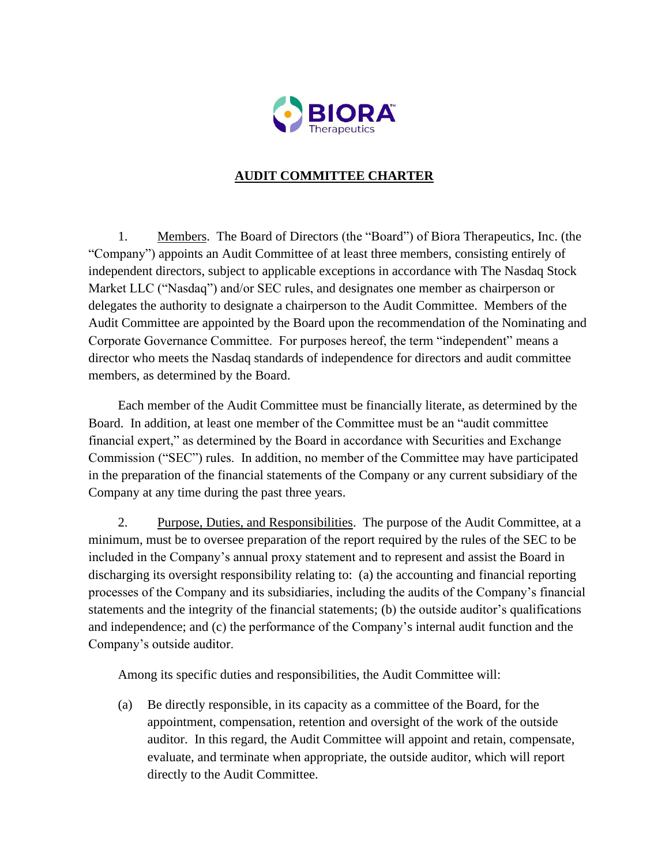

## **AUDIT COMMITTEE CHARTER**

1. Members. The Board of Directors (the "Board") of Biora Therapeutics, Inc. (the "Company") appoints an Audit Committee of at least three members, consisting entirely of independent directors, subject to applicable exceptions in accordance with The Nasdaq Stock Market LLC ("Nasdaq") and/or SEC rules, and designates one member as chairperson or delegates the authority to designate a chairperson to the Audit Committee. Members of the Audit Committee are appointed by the Board upon the recommendation of the Nominating and Corporate Governance Committee. For purposes hereof, the term "independent" means a director who meets the Nasdaq standards of independence for directors and audit committee members, as determined by the Board.

Each member of the Audit Committee must be financially literate, as determined by the Board. In addition, at least one member of the Committee must be an "audit committee financial expert," as determined by the Board in accordance with Securities and Exchange Commission ("SEC") rules. In addition, no member of the Committee may have participated in the preparation of the financial statements of the Company or any current subsidiary of the Company at any time during the past three years.

2. Purpose, Duties, and Responsibilities. The purpose of the Audit Committee, at a minimum, must be to oversee preparation of the report required by the rules of the SEC to be included in the Company's annual proxy statement and to represent and assist the Board in discharging its oversight responsibility relating to: (a) the accounting and financial reporting processes of the Company and its subsidiaries, including the audits of the Company's financial statements and the integrity of the financial statements; (b) the outside auditor's qualifications and independence; and (c) the performance of the Company's internal audit function and the Company's outside auditor.

Among its specific duties and responsibilities, the Audit Committee will:

(a) Be directly responsible, in its capacity as a committee of the Board, for the appointment, compensation, retention and oversight of the work of the outside auditor. In this regard, the Audit Committee will appoint and retain, compensate, evaluate, and terminate when appropriate, the outside auditor, which will report directly to the Audit Committee.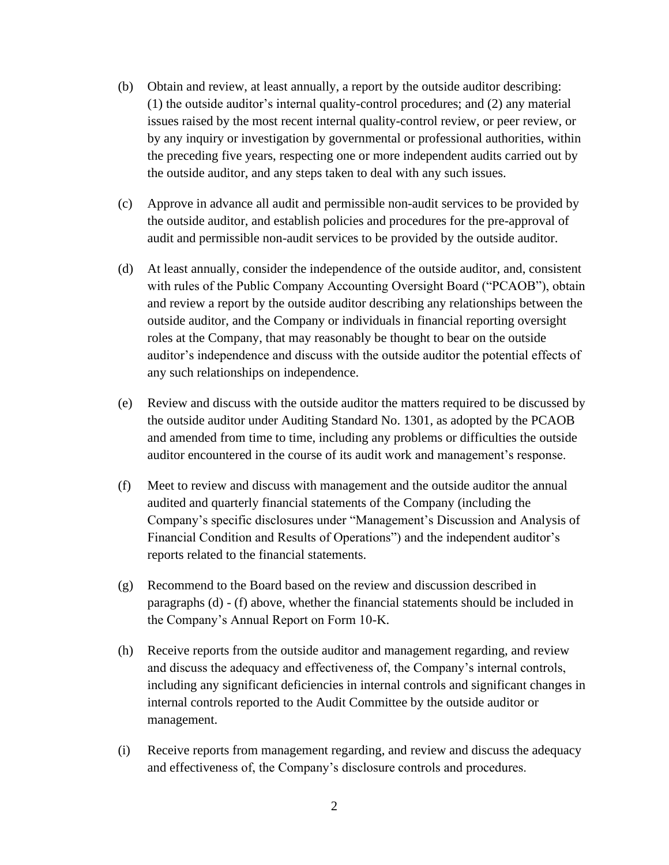- (b) Obtain and review, at least annually, a report by the outside auditor describing: (1) the outside auditor's internal quality-control procedures; and (2) any material issues raised by the most recent internal quality-control review, or peer review, or by any inquiry or investigation by governmental or professional authorities, within the preceding five years, respecting one or more independent audits carried out by the outside auditor, and any steps taken to deal with any such issues.
- (c) Approve in advance all audit and permissible non-audit services to be provided by the outside auditor, and establish policies and procedures for the pre-approval of audit and permissible non-audit services to be provided by the outside auditor.
- (d) At least annually, consider the independence of the outside auditor, and, consistent with rules of the Public Company Accounting Oversight Board ("PCAOB"), obtain and review a report by the outside auditor describing any relationships between the outside auditor, and the Company or individuals in financial reporting oversight roles at the Company, that may reasonably be thought to bear on the outside auditor's independence and discuss with the outside auditor the potential effects of any such relationships on independence.
- (e) Review and discuss with the outside auditor the matters required to be discussed by the outside auditor under Auditing Standard No. 1301, as adopted by the PCAOB and amended from time to time, including any problems or difficulties the outside auditor encountered in the course of its audit work and management's response.
- (f) Meet to review and discuss with management and the outside auditor the annual audited and quarterly financial statements of the Company (including the Company's specific disclosures under "Management's Discussion and Analysis of Financial Condition and Results of Operations") and the independent auditor's reports related to the financial statements.
- (g) Recommend to the Board based on the review and discussion described in paragraphs (d) - (f) above, whether the financial statements should be included in the Company's Annual Report on Form 10-K.
- (h) Receive reports from the outside auditor and management regarding, and review and discuss the adequacy and effectiveness of, the Company's internal controls, including any significant deficiencies in internal controls and significant changes in internal controls reported to the Audit Committee by the outside auditor or management.
- (i) Receive reports from management regarding, and review and discuss the adequacy and effectiveness of, the Company's disclosure controls and procedures.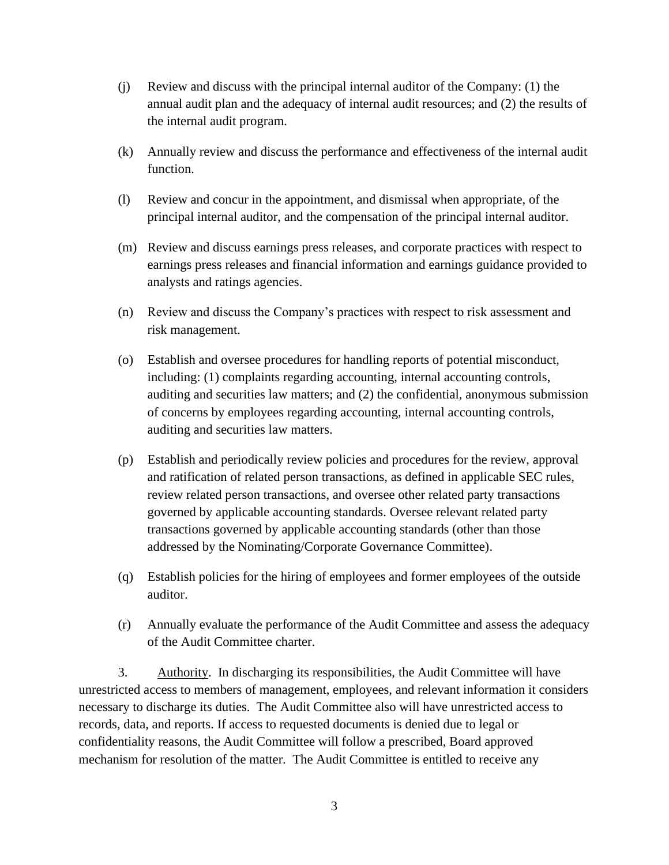- (j) Review and discuss with the principal internal auditor of the Company: (1) the annual audit plan and the adequacy of internal audit resources; and (2) the results of the internal audit program.
- (k) Annually review and discuss the performance and effectiveness of the internal audit function.
- (l) Review and concur in the appointment, and dismissal when appropriate, of the principal internal auditor, and the compensation of the principal internal auditor.
- (m) Review and discuss earnings press releases, and corporate practices with respect to earnings press releases and financial information and earnings guidance provided to analysts and ratings agencies.
- (n) Review and discuss the Company's practices with respect to risk assessment and risk management.
- (o) Establish and oversee procedures for handling reports of potential misconduct, including: (1) complaints regarding accounting, internal accounting controls, auditing and securities law matters; and (2) the confidential, anonymous submission of concerns by employees regarding accounting, internal accounting controls, auditing and securities law matters.
- (p) Establish and periodically review policies and procedures for the review, approval and ratification of related person transactions, as defined in applicable SEC rules, review related person transactions, and oversee other related party transactions governed by applicable accounting standards. Oversee relevant related party transactions governed by applicable accounting standards (other than those addressed by the Nominating/Corporate Governance Committee).
- (q) Establish policies for the hiring of employees and former employees of the outside auditor.
- (r) Annually evaluate the performance of the Audit Committee and assess the adequacy of the Audit Committee charter.

3. Authority. In discharging its responsibilities, the Audit Committee will have unrestricted access to members of management, employees, and relevant information it considers necessary to discharge its duties. The Audit Committee also will have unrestricted access to records, data, and reports. If access to requested documents is denied due to legal or confidentiality reasons, the Audit Committee will follow a prescribed, Board approved mechanism for resolution of the matter. The Audit Committee is entitled to receive any